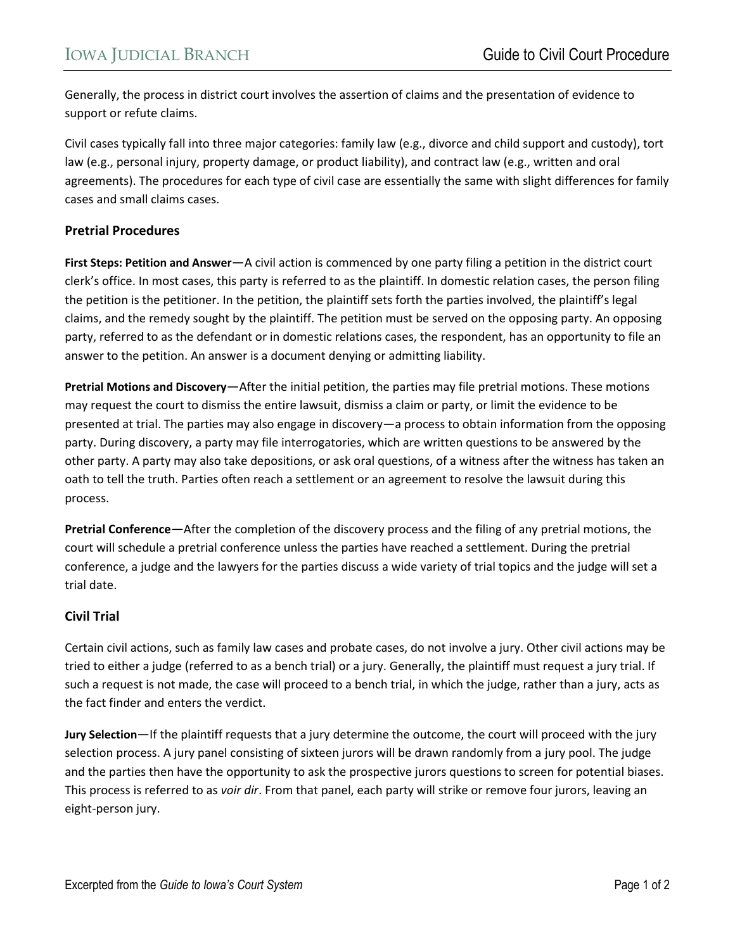Generally, the process in district court involves the assertion of claims and the presentation of evidence to support or refute claims.

Civil cases typically fall into three major categories: family law (e.g., divorce and child support and custody), tort law (e.g., personal injury, property damage, or product liability), and contract law (e.g., written and oral agreements). The procedures for each type of civil case are essentially the same with slight differences for family cases and small claims cases.

## **Pretrial Procedures**

**First Steps: Petition and Answer**—A civil action is commenced by one party filing a petition in the district court clerk's office. In most cases, this party is referred to as the plaintiff. In domestic relation cases, the person filing the petition is the petitioner. In the petition, the plaintiff sets forth the parties involved, the plaintiff's legal claims, and the remedy sought by the plaintiff. The petition must be served on the opposing party. An opposing party, referred to as the defendant or in domestic relations cases, the respondent, has an opportunity to file an answer to the petition. An answer is a document denying or admitting liability.

**Pretrial Motions and Discovery**—After the initial petition, the parties may file pretrial motions. These motions may request the court to dismiss the entire lawsuit, dismiss a claim or party, or limit the evidence to be presented at trial. The parties may also engage in discovery—a process to obtain information from the opposing party. During discovery, a party may file interrogatories, which are written questions to be answered by the other party. A party may also take depositions, or ask oral questions, of a witness after the witness has taken an oath to tell the truth. Parties often reach a settlement or an agreement to resolve the lawsuit during this process.

**Pretrial Conference—**After the completion of the discovery process and the filing of any pretrial motions, the court will schedule a pretrial conference unless the parties have reached a settlement. During the pretrial conference, a judge and the lawyers for the parties discuss a wide variety of trial topics and the judge will set a trial date.

## **Civil Trial**

Certain civil actions, such as family law cases and probate cases, do not involve a jury. Other civil actions may be tried to either a judge (referred to as a bench trial) or a jury. Generally, the plaintiff must request a jury trial. If such a request is not made, the case will proceed to a bench trial, in which the judge, rather than a jury, acts as the fact finder and enters the verdict.

**Jury Selection**—If the plaintiff requests that a jury determine the outcome, the court will proceed with the jury selection process. A jury panel consisting of sixteen jurors will be drawn randomly from a jury pool. The judge and the parties then have the opportunity to ask the prospective jurors questions to screen for potential biases. This process is referred to as *voir dir*. From that panel, each party will strike or remove four jurors, leaving an eight-person jury.